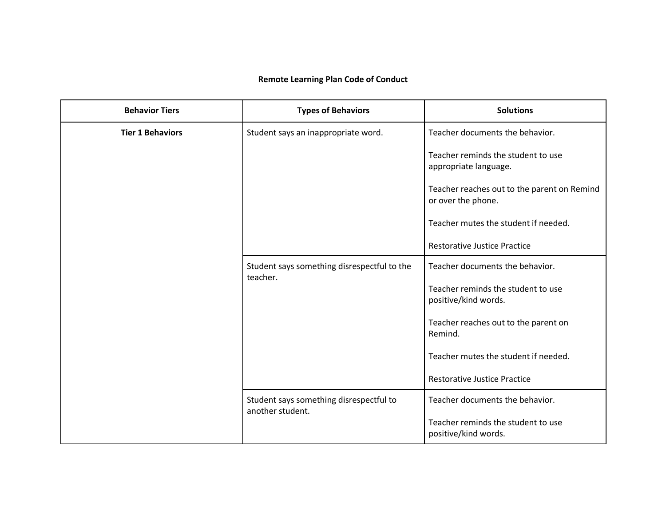## **Remote Learning Plan Code of Conduct**

| <b>Behavior Tiers</b>   | <b>Types of Behaviors</b>                                   | <b>Solutions</b>                                                  |
|-------------------------|-------------------------------------------------------------|-------------------------------------------------------------------|
| <b>Tier 1 Behaviors</b> | Student says an inappropriate word.                         | Teacher documents the behavior.                                   |
|                         |                                                             | Teacher reminds the student to use<br>appropriate language.       |
|                         |                                                             | Teacher reaches out to the parent on Remind<br>or over the phone. |
|                         |                                                             | Teacher mutes the student if needed.                              |
|                         |                                                             | <b>Restorative Justice Practice</b>                               |
|                         | Student says something disrespectful to the<br>teacher.     | Teacher documents the behavior.                                   |
|                         |                                                             | Teacher reminds the student to use<br>positive/kind words.        |
|                         |                                                             | Teacher reaches out to the parent on<br>Remind.                   |
|                         |                                                             | Teacher mutes the student if needed.                              |
|                         |                                                             | <b>Restorative Justice Practice</b>                               |
|                         | Student says something disrespectful to<br>another student. | Teacher documents the behavior.                                   |
|                         |                                                             | Teacher reminds the student to use<br>positive/kind words.        |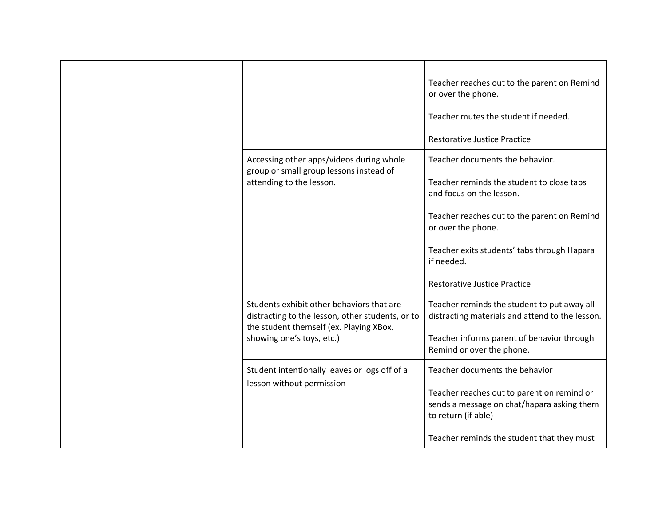|                                                                                                                                                                       | Teacher reaches out to the parent on Remind<br>or over the phone.<br>Teacher mutes the student if needed.<br><b>Restorative Justice Practice</b>                                                                                                                                  |
|-----------------------------------------------------------------------------------------------------------------------------------------------------------------------|-----------------------------------------------------------------------------------------------------------------------------------------------------------------------------------------------------------------------------------------------------------------------------------|
| Accessing other apps/videos during whole<br>group or small group lessons instead of<br>attending to the lesson.                                                       | Teacher documents the behavior.<br>Teacher reminds the student to close tabs<br>and focus on the lesson.<br>Teacher reaches out to the parent on Remind<br>or over the phone.<br>Teacher exits students' tabs through Hapara<br>if needed.<br><b>Restorative Justice Practice</b> |
| Students exhibit other behaviors that are<br>distracting to the lesson, other students, or to<br>the student themself (ex. Playing XBox,<br>showing one's toys, etc.) | Teacher reminds the student to put away all<br>distracting materials and attend to the lesson.<br>Teacher informs parent of behavior through<br>Remind or over the phone.                                                                                                         |
| Student intentionally leaves or logs off of a<br>lesson without permission                                                                                            | Teacher documents the behavior<br>Teacher reaches out to parent on remind or<br>sends a message on chat/hapara asking them<br>to return (if able)<br>Teacher reminds the student that they must                                                                                   |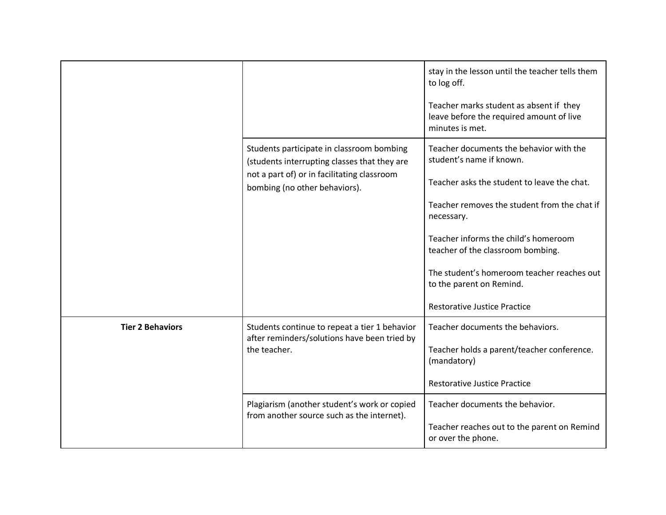|                         | Students participate in classroom bombing<br>(students interrupting classes that they are<br>not a part of) or in facilitating classroom<br>bombing (no other behaviors). | stay in the lesson until the teacher tells them<br>to log off.<br>Teacher marks student as absent if they<br>leave before the required amount of live<br>minutes is met.<br>Teacher documents the behavior with the<br>student's name if known.<br>Teacher asks the student to leave the chat.<br>Teacher removes the student from the chat if<br>necessary.<br>Teacher informs the child's homeroom<br>teacher of the classroom bombing.<br>The student's homeroom teacher reaches out<br>to the parent on Remind. |
|-------------------------|---------------------------------------------------------------------------------------------------------------------------------------------------------------------------|---------------------------------------------------------------------------------------------------------------------------------------------------------------------------------------------------------------------------------------------------------------------------------------------------------------------------------------------------------------------------------------------------------------------------------------------------------------------------------------------------------------------|
|                         |                                                                                                                                                                           | <b>Restorative Justice Practice</b>                                                                                                                                                                                                                                                                                                                                                                                                                                                                                 |
| <b>Tier 2 Behaviors</b> | Students continue to repeat a tier 1 behavior<br>after reminders/solutions have been tried by<br>the teacher.                                                             | Teacher documents the behaviors.<br>Teacher holds a parent/teacher conference.<br>(mandatory)<br><b>Restorative Justice Practice</b>                                                                                                                                                                                                                                                                                                                                                                                |
|                         | Plagiarism (another student's work or copied<br>from another source such as the internet).                                                                                | Teacher documents the behavior.<br>Teacher reaches out to the parent on Remind<br>or over the phone.                                                                                                                                                                                                                                                                                                                                                                                                                |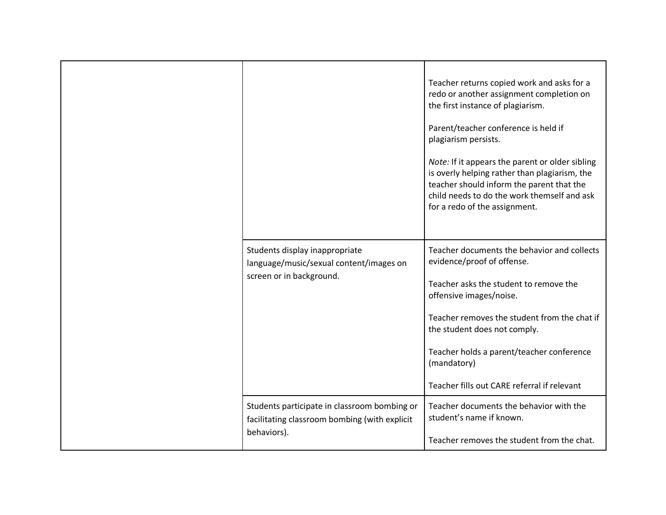|                                                                                                              | Teacher returns copied work and asks for a<br>redo or another assignment completion on<br>the first instance of plagiarism.<br>Parent/teacher conference is held if<br>plagiarism persists.<br>Note: If it appears the parent or older sibling<br>is overly helping rather than plagiarism, the<br>teacher should inform the parent that the<br>child needs to do the work themself and ask<br>for a redo of the assignment. |
|--------------------------------------------------------------------------------------------------------------|------------------------------------------------------------------------------------------------------------------------------------------------------------------------------------------------------------------------------------------------------------------------------------------------------------------------------------------------------------------------------------------------------------------------------|
| Students display inappropriate<br>language/music/sexual content/images on<br>screen or in background.        | Teacher documents the behavior and collects<br>evidence/proof of offense.<br>Teacher asks the student to remove the<br>offensive images/noise.<br>Teacher removes the student from the chat if<br>the student does not comply.<br>Teacher holds a parent/teacher conference<br>(mandatory)<br>Teacher fills out CARE referral if relevant                                                                                    |
| Students participate in classroom bombing or<br>facilitating classroom bombing (with explicit<br>behaviors). | Teacher documents the behavior with the<br>student's name if known.<br>Teacher removes the student from the chat.                                                                                                                                                                                                                                                                                                            |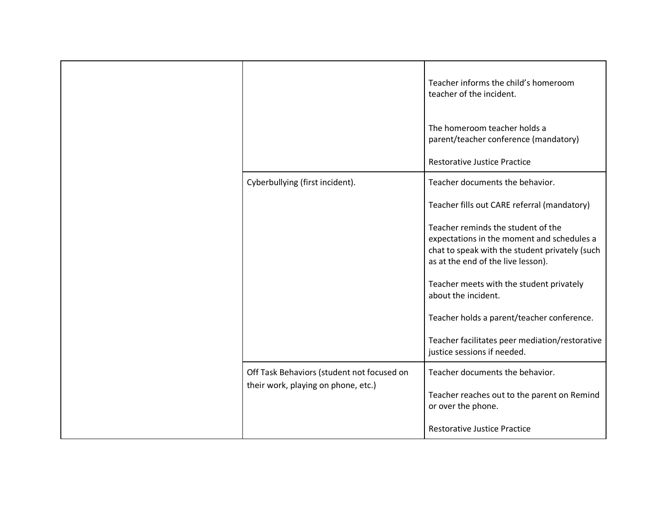|                                            | Teacher informs the child's homeroom<br>teacher of the incident.                                                                                                         |
|--------------------------------------------|--------------------------------------------------------------------------------------------------------------------------------------------------------------------------|
|                                            | The homeroom teacher holds a<br>parent/teacher conference (mandatory)                                                                                                    |
|                                            | <b>Restorative Justice Practice</b>                                                                                                                                      |
| Cyberbullying (first incident).            | Teacher documents the behavior.                                                                                                                                          |
|                                            | Teacher fills out CARE referral (mandatory)                                                                                                                              |
|                                            | Teacher reminds the student of the<br>expectations in the moment and schedules a<br>chat to speak with the student privately (such<br>as at the end of the live lesson). |
|                                            | Teacher meets with the student privately<br>about the incident.                                                                                                          |
|                                            | Teacher holds a parent/teacher conference.                                                                                                                               |
|                                            | Teacher facilitates peer mediation/restorative<br>justice sessions if needed.                                                                                            |
| Off Task Behaviors (student not focused on | Teacher documents the behavior.                                                                                                                                          |
| their work, playing on phone, etc.)        | Teacher reaches out to the parent on Remind<br>or over the phone.                                                                                                        |
|                                            | <b>Restorative Justice Practice</b>                                                                                                                                      |